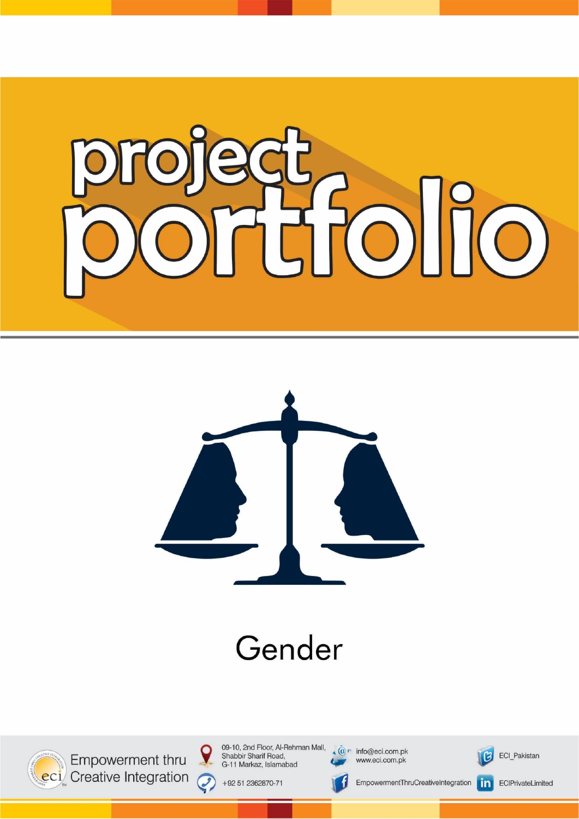



# Gender



Empowerment thru eci Creative Integration 09-10, 2nd Floor, Al-Rehman Mall, Shabbir Sharif Road, G-11 Markaz, Islamabad

+92 51 2362870-71

 $\boldsymbol{Q}$ 

Q,

 $\widehat{\mathbb{Q}}$  info@eci.com.pk www.eci.com.pk



ECI\_Pakistan

ECIPrivateLimited

EmpowermentThruCreativeIntegration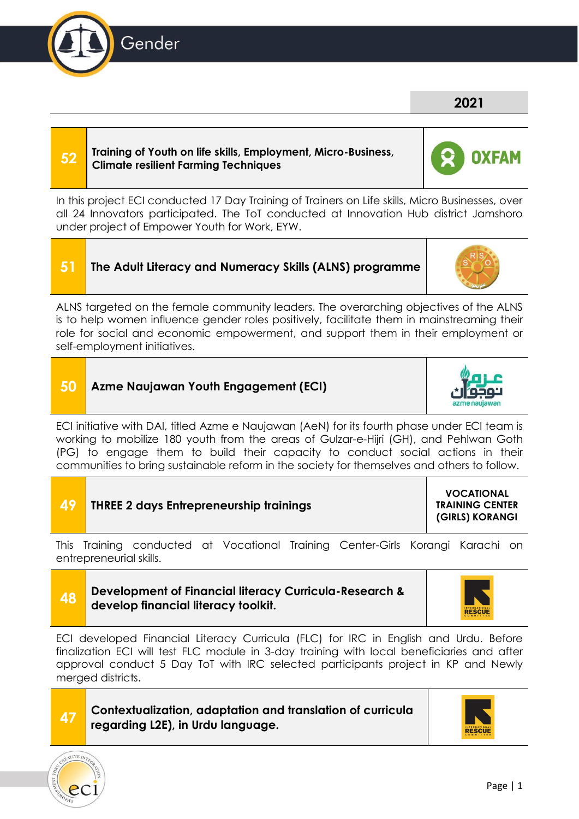**52 Training of Youth on life skills, Employment, Micro-Business, Climate resilient Farming Techniques**

In this project ECI conducted 17 Day Training of Trainers on Life skills, Micro Businesses, over all 24 Innovators participated. The ToT conducted at Innovation Hub district Jamshoro under project of Empower Youth for Work, EYW.

# **51 The Adult Literacy and Numeracy Skills (ALNS) programme**

ALNS targeted on the female community leaders. The overarching objectives of the ALNS is to help women influence gender roles positively, facilitate them in mainstreaming their role for social and economic empowerment, and support them in their employment or self-employment initiatives.



ECI initiative with DAI, titled Azme e Naujawan (AeN) for its fourth phase under ECI team is working to mobilize 180 youth from the areas of Gulzar-e-Hijri (GH), and Pehlwan Goth (PG) to engage them to build their capacity to conduct social actions in their communities to bring sustainable reform in the society for themselves and others to follow.

| -49 | <b>THREE 2 days Entrepreneurship trainings</b> | <b>VOCATIONAL</b><br><b>TRAINING CENTER</b><br>(GIRLS) KORANGI |
|-----|------------------------------------------------|----------------------------------------------------------------|
|-----|------------------------------------------------|----------------------------------------------------------------|

This Training conducted at Vocational Training Center-Girls Korangi Karachi on entrepreneurial skills.

#### **48 Development of Financial literacy Curricula-Research & develop financial literacy toolkit.**

ECI developed Financial Literacy Curricula (FLC) for IRC in English and Urdu. Before finalization ECI will test FLC module in 3-day training with local beneficiaries and after approval conduct 5 Day ToT with IRC selected participants project in KP and Newly merged districts.

#### **47 Contextualization, adaptation and translation of curricula regarding L2E), in Urdu language.**









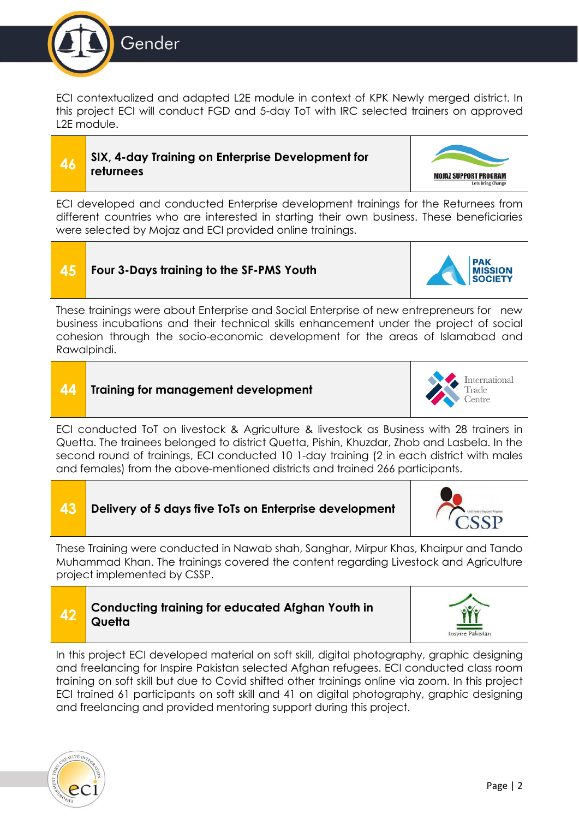

ECI contextualized and adapted L2E module in context of KPK Newly merged district. In this project ECI will conduct FGD and 5-day ToT with IRC selected trainers on approved L2E module.

#### **46 SIX, 4-day Training on Enterprise Development for returnees**



**PAK MISSION** 

ECI developed and conducted Enterprise development trainings for the Returnees from different countries who are interested in starting their own business. These beneficiaries were selected by Mojaz and ECI provided online trainings.

## **45 Four 3-Days training to the SF-PMS Youth**

These trainings were about Enterprise and Social Enterprise of new entrepreneurs for new business incubations and their technical skills enhancement under the project of social cohesion through the socio-economic development for the areas of Islamabad and Rawalpindi.

#### **44 Training for management development**



ECI conducted ToT on livestock & Agriculture & livestock as Business with 28 trainers in Quetta. The trainees belonged to district Quetta, Pishin, Khuzdar, Zhob and Lasbela. In the second round of trainings, ECI conducted 10 1-day training (2 in each district with males and females) from the above-mentioned districts and trained 266 participants.

#### **43 Delivery of 5 days five ToTs on Enterprise development**



These Training were conducted in Nawab shah, Sanghar, Mirpur Khas, Khairpur and Tando Muhammad Khan. The trainings covered the content regarding Livestock and Agriculture project implemented by CSSP.

# **42 Conducting training for educated Afghan Youth in Quetta**



In this project ECI developed material on soft skill, digital photography, graphic designing and freelancing for Inspire Pakistan selected Afghan refugees. ECI conducted class room training on soft skill but due to Covid shifted other trainings online via zoom. In this project ECI trained 61 participants on soft skill and 41 on digital photography, graphic designing and freelancing and provided mentoring support during this project.

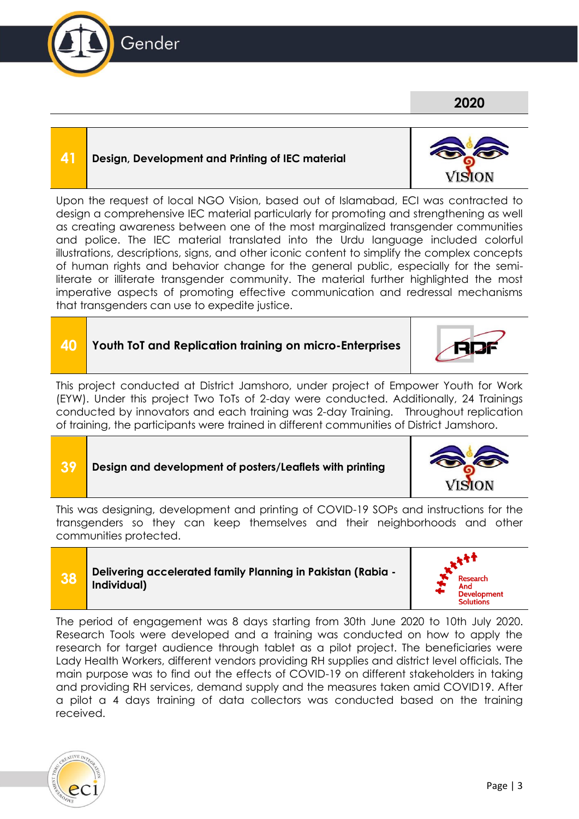#### **41 Design, Development and Printing of IEC material**

Upon the request of local NGO Vision, based out of Islamabad, ECI was contracted to design a comprehensive IEC material particularly for promoting and strengthening as well as creating awareness between one of the most marginalized transgender communities and police. The IEC material translated into the Urdu language included colorful illustrations, descriptions, signs, and other iconic content to simplify the complex concepts of human rights and behavior change for the general public, especially for the semiliterate or illiterate transgender community. The material further highlighted the most imperative aspects of promoting effective communication and redressal mechanisms that transgenders can use to expedite justice.

# **40 Youth ToT and Replication training on micro-Enterprises**

This project conducted at District Jamshoro, under project of Empower Youth for Work (EYW). Under this project Two ToTs of 2-day were conducted. Additionally, 24 Trainings conducted by innovators and each training was 2-day Training. Throughout replication of training, the participants were trained in different communities of District Jamshoro.

#### **39 Design and development of posters/Leaflets with printing**

This was designing, development and printing of COVID-19 SOPs and instructions for the transgenders so they can keep themselves and their neighborhoods and other communities protected.

#### **38 Delivering accelerated family Planning in Pakistan (Rabia - Individual)**

The period of engagement was 8 days starting from 30th June 2020 to 10th July 2020. Research Tools were developed and a training was conducted on how to apply the research for target audience through tablet as a pilot project. The beneficiaries were Lady Health Workers, different vendors providing RH supplies and district level officials. The main purpose was to find out the effects of COVID-19 on different stakeholders in taking and providing RH services, demand supply and the measures taken amid COVID19. After a pilot a 4 days training of data collectors was conducted based on the training received.







**2020**







**Development** Solutions

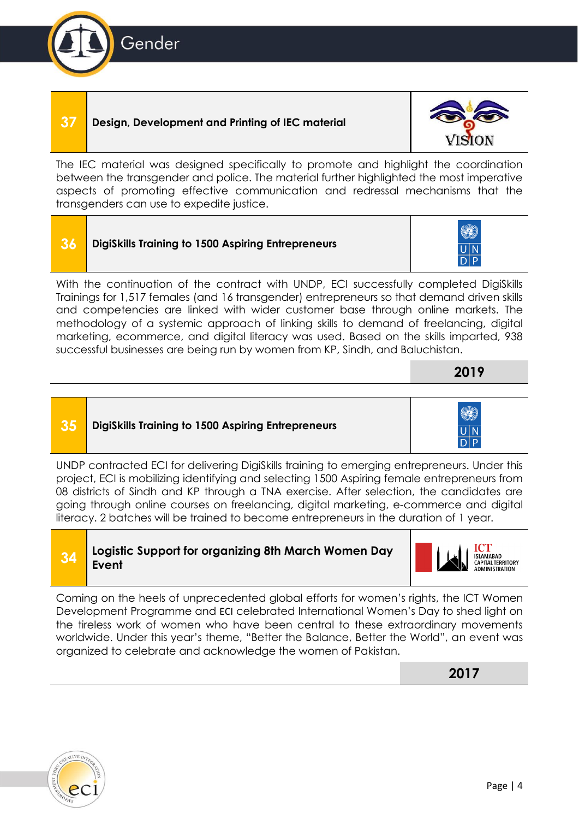#### **37 Design, Development and Printing of IEC material**

The IEC material was designed specifically to promote and highlight the coordination between the transgender and police. The material further highlighted the most imperative aspects of promoting effective communication and redressal mechanisms that the transgenders can use to expedite justice.

| <b>36</b> DigiSkills Training to 1500 Aspiring Entrepreneurs |
|--------------------------------------------------------------|
|                                                              |

With the continuation of the contract with UNDP, ECI successfully completed DigiSkills Trainings for 1,517 females (and 16 transgender) entrepreneurs so that demand driven skills and competencies are linked with wider customer base through online markets. The methodology of a systemic approach of linking skills to demand of freelancing, digital marketing, ecommerce, and digital literacy was used. Based on the skills imparted, 938 successful businesses are being run by women from KP, Sindh, and Baluchistan.

#### **35 DigiSkills Training to 1500 Aspiring Entrepreneurs**

UNDP contracted ECI for delivering DigiSkills training to emerging entrepreneurs. Under this project, ECI is mobilizing identifying and selecting 1500 Aspiring female entrepreneurs from 08 districts of Sindh and KP through a TNA exercise. After selection, the candidates are going through online courses on freelancing, digital marketing, e-commerce and digital literacy. 2 batches will be trained to become entrepreneurs in the duration of 1 year.

Coming on the heels of unprecedented global efforts for women's rights, the ICT Women Development Programme and [ECI](https://www.facebook.com/hashtag/eci?source=feed_text&epa=HASHTAG&__xts__%5B0%5D=68.ARAmH5NHuXyAx8z9qwAD71IABsF2jaCsFnbemUITop-50ada8wXWVk9iFZKMe7zDYWuZhF9Qs8YnnH4g_wUCYr4FH8CHvW_b6H3z3k2Xj8odRPUX4uwLruCQdPVnS92taV7ob2yEdBD1Jym_cv7SdEcSad3khrv3zfZGeTqwnPsm9x9vaMigAHzyODkKCW5rZhjy1EYavRS_CPCW0rrrr7NFY7Z3zJgrJjY6Y75wfxHqF5mRMQLbltZIvjkkoRfeNGR8dt6NE5Uog_P0eM9Q2KD-gwYd-xDrP77kSXneWYambZLqspWeASfDxAB7hLvSwYYxmYgSVme9jYJWkFavR17LqQ&__tn__=%2ANK-R) celebrated International Women's Day to shed light on the tireless work of women who have been central to these extraordinary movements worldwide. Under this year's theme, "Better the Balance, Better the World", an event was organized to celebrate and acknowledge the women of Pakistan.

**2017**

ISLAMABAD<br>CAPITAL TERRITORY<br>ADMINISTRATION











**<sup>34</sup> Logistic Support for organizing 8th March Women Day Event**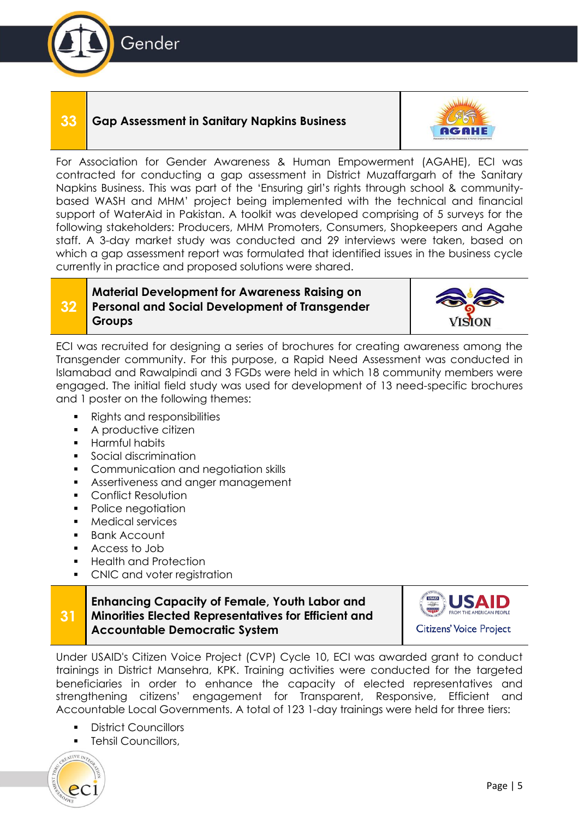

#### **33 Gap Assessment in Sanitary Napkins Business**



For Association for Gender Awareness & Human Empowerment (AGAHE), ECI was contracted for conducting a gap assessment in District Muzaffargarh of the Sanitary Napkins Business. This was part of the 'Ensuring girl's rights through school & communitybased WASH and MHM' project being implemented with the technical and financial support of WaterAid in Pakistan. A toolkit was developed comprising of 5 surveys for the following stakeholders: Producers, MHM Promoters, Consumers, Shopkeepers and Agahe staff. A 3-day market study was conducted and 29 interviews were taken, based on which a gap assessment report was formulated that identified issues in the business cycle currently in practice and proposed solutions were shared.

#### **32 Material Development for Awareness Raising on Personal and Social Development of Transgender Groups**



ECI was recruited for designing a series of brochures for creating awareness among the Transgender community. For this purpose, a Rapid Need Assessment was conducted in Islamabad and Rawalpindi and 3 FGDs were held in which 18 community members were engaged. The initial field study was used for development of 13 need-specific brochures and 1 poster on the following themes:

- Rights and responsibilities
- A productive citizen
- Harmful habits
- Social discrimination
- Communication and negotiation skills
- **EXECUTE:** Assertiveness and anger management
- Conflict Resolution
- Police negotiation
- Medical services
- **Bank Account**
- Access to Job
- Health and Protection
- CNIC and voter registration

#### **31 Enhancing Capacity of Female, Youth Labor and Minorities Elected Representatives for Efficient and Accountable Democratic System**



Under USAID's Citizen Voice Project (CVP) Cycle 10, ECI was awarded grant to conduct trainings in District Mansehra, KPK. Training activities were conducted for the targeted beneficiaries in order to enhance the capacity of elected representatives and strengthening citizens' engagement for Transparent, Responsive, Efficient and Accountable Local Governments. A total of 123 1-day trainings were held for three tiers:

- District Councillors
- Tehsil Councillors,

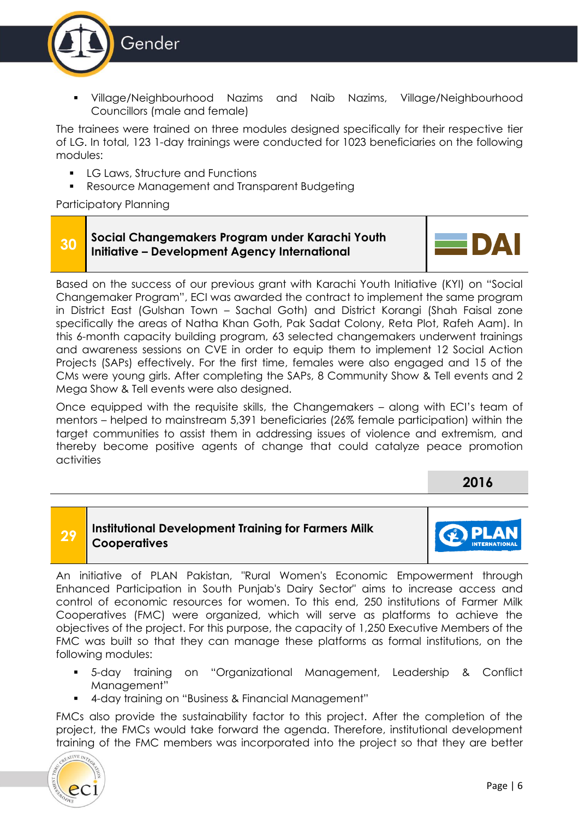

Village/Neighbourhood Nazims and Naib Nazims, Village/Neighbourhood Councillors (male and female)

The trainees were trained on three modules designed specifically for their respective tier of LG. In total, 123 1-day trainings were conducted for 1023 beneficiaries on the following modules:

- LG Laws, Structure and Functions
- Resource Management and Transparent Budgeting

Participatory Planning

#### **30 Social Changemakers Program under Karachi Youth Initiative – Development Agency International**



Based on the success of our previous grant with Karachi Youth Initiative (KYI) on "Social Changemaker Program", ECI was awarded the contract to implement the same program in District East (Gulshan Town – Sachal Goth) and District Korangi (Shah Faisal zone specifically the areas of Natha Khan Goth, Pak Sadat Colony, Reta Plot, Rafeh Aam). In this 6-month capacity building program, 63 selected changemakers underwent trainings and awareness sessions on CVE in order to equip them to implement 12 Social Action Projects (SAPs) effectively. For the first time, females were also engaged and 15 of the CMs were young girls. After completing the SAPs, 8 Community Show & Tell events and 2 Mega Show & Tell events were also designed.

Once equipped with the requisite skills, the Changemakers – along with ECI's team of mentors – helped to mainstream 5,391 beneficiaries (26% female participation) within the target communities to assist them in addressing issues of violence and extremism, and thereby become positive agents of change that could catalyze peace promotion activities

**2016**

#### **29 Institutional Development Training for Farmers Milk Cooperatives**



An initiative of PLAN Pakistan, "Rural Women's Economic Empowerment through Enhanced Participation in South Punjab's Dairy Sector" aims to increase access and control of economic resources for women. To this end, 250 institutions of Farmer Milk Cooperatives (FMC) were organized, which will serve as platforms to achieve the objectives of the project. For this purpose, the capacity of 1,250 Executive Members of the FMC was built so that they can manage these platforms as formal institutions, on the following modules:

- 5-day training on "Organizational Management, Leadership & Conflict Management"
- 4-day training on "Business & Financial Management"

FMCs also provide the sustainability factor to this project. After the completion of the project, the FMCs would take forward the agenda. Therefore, institutional development training of the FMC members was incorporated into the project so that they are better

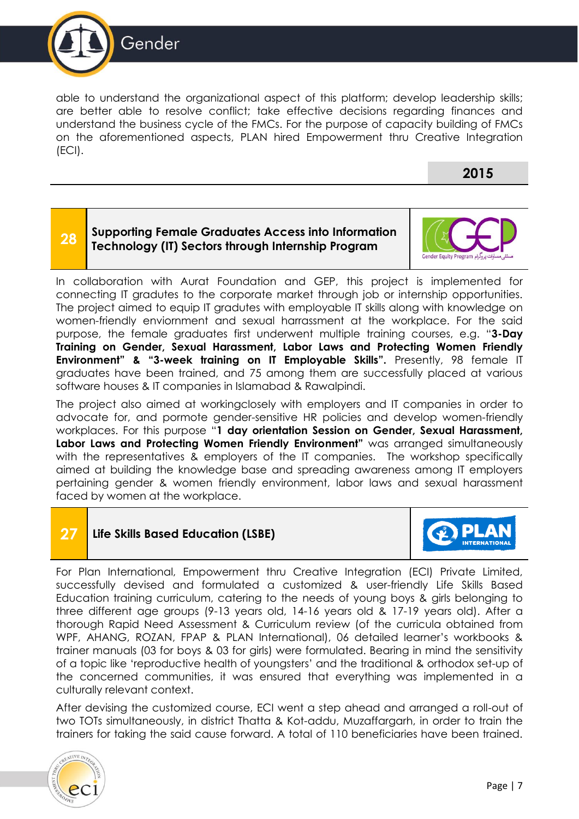

able to understand the organizational aspect of this platform; develop leadership skills; are better able to resolve conflict; take effective decisions regarding finances and understand the business cycle of the FMCs. For the purpose of capacity building of FMCs on the aforementioned aspects, PLAN hired Empowerment thru Creative Integration (ECI).

#### **2015**

#### **28 Supporting Female Graduates Access into Information Technology (IT) Sectors through Internship Program**



In collaboration with Aurat Foundation and GEP, this project is implemented for connecting IT gradutes to the corporate market through job or internship opportunities. The project aimed to equip IT gradutes with employable IT skills along with knowledge on women-friendly enviornment and sexual harrassment at the workplace. For the said purpose, the female graduates first underwent multiple training courses, e.g. "**3-Day Training on Gender, Sexual Harassment, Labor Laws and Protecting Women Friendly Environment" & "3-week training on IT Employable Skills".** Presently, 98 female IT graduates have been trained, and 75 among them are successfully placed at various software houses & IT companies in Islamabad & Rawalpindi.

The project also aimed at workingclosely with employers and IT companies in order to advocate for, and pormote gender-sensitive HR policies and develop women-friendly workplaces. For this purpose "**1 day orientation Session on Gender, Sexual Harassment, Labor Laws and Protecting Women Friendly Environment"** was arranged simultaneously with the representatives & employers of the IT companies. The workshop specifically aimed at building the knowledge base and spreading awareness among IT employers pertaining gender & women friendly environment, labor laws and sexual harassment faced by women at the workplace.

#### **27 Life Skills Based Education (LSBE)**



For Plan International, Empowerment thru Creative Integration (ECI) Private Limited, successfully devised and formulated a customized & user-friendly Life Skills Based Education training curriculum, catering to the needs of young boys & girls belonging to three different age groups (9-13 years old, 14-16 years old & 17-19 years old). After a thorough Rapid Need Assessment & Curriculum review (of the curricula obtained from WPF, AHANG, ROZAN, FPAP & PLAN International), 06 detailed learner's workbooks & trainer manuals (03 for boys & 03 for girls) were formulated. Bearing in mind the sensitivity of a topic like 'reproductive health of youngsters' and the traditional & orthodox set-up of the concerned communities, it was ensured that everything was implemented in a culturally relevant context.

After devising the customized course, ECI went a step ahead and arranged a roll-out of two TOTs simultaneously, in district Thatta & Kot-addu, Muzaffargarh, in order to train the trainers for taking the said cause forward. A total of 110 beneficiaries have been trained.

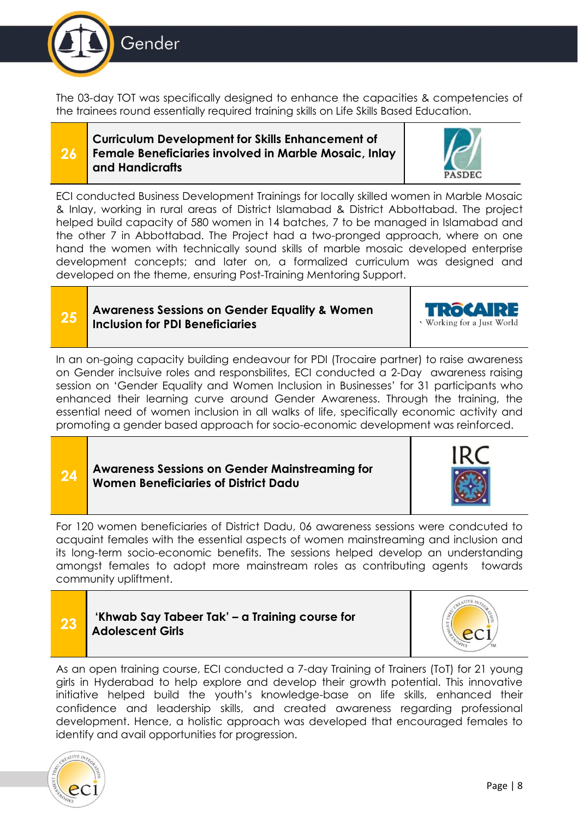

**25**

**24**

The 03-day TOT was specifically designed to enhance the capacities & competencies of the trainees round essentially required training skills on Life Skills Based Education.

#### **26 Curriculum Development for Skills Enhancement of Female Beneficiaries involved in Marble Mosaic, Inlay and Handicrafts**



ECI conducted Business Development Trainings for locally skilled women in Marble Mosaic & Inlay, working in rural areas of District Islamabad & District Abbottabad. The project helped build capacity of 580 women in 14 batches, 7 to be managed in Islamabad and the other 7 in Abbottabad. The Project had a two-pronged approach, where on one hand the women with technically sound skills of marble mosaic developed enterprise development concepts; and later on, a formalized curriculum was designed and developed on the theme, ensuring Post-Training Mentoring Support.

#### **Awareness Sessions on Gender Equality & Women Inclusion for PDI Beneficiaries** `

In an on-going capacity building endeavour for PDI (Trocaire partner) to raise awareness on Gender inclsuive roles and responsbilites, ECI conducted a 2-Day awareness raising session on 'Gender Equality and Women Inclusion in Businesses' for 31 participants who enhanced their learning curve around Gender Awareness. Through the training, the essential need of women inclusion in all walks of life, specifically economic activity and promoting a gender based approach for socio-economic development was reinforced.

#### **Awareness Sessions on Gender Mainstreaming for Women Beneficiaries of District Dadu**

For 120 women beneficiaries of District Dadu, 06 awareness sessions were condcuted to acquaint females with the essential aspects of women mainstreaming and inclusion and its long-term socio-economic benefits. The sessions helped develop an understanding amongst females to adopt more mainstream roles as contributing agents towards community upliftment.

| 'Khwab Sa  |
|------------|
| Adolescent |

#### **23 'Khwab Say Tabeer Tak' – a Training course for Ant Girls**







Working for a Just World

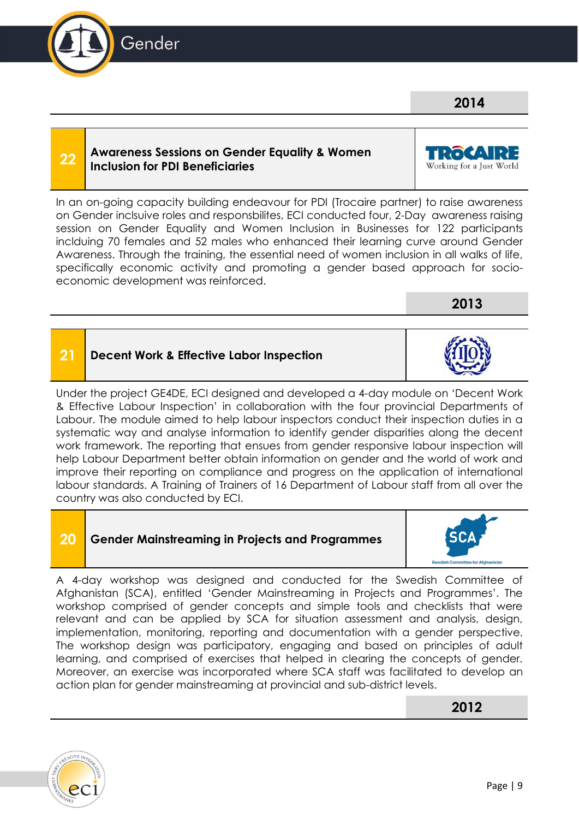#### **Awareness Sessions on Gender Equality & Women Inclusion for PDI Beneficiaries**

In an on-going capacity building endeavour for PDI (Trocaire partner) to raise awareness on Gender inclsuive roles and responsbilites, ECI conducted four, 2-Day awareness raising session on Gender Equality and Women Inclusion in Businesses for 122 participants inclduing 70 females and 52 males who enhanced their learning curve around Gender Awareness. Through the training, the essential need of women inclusion in all walks of life, specifically economic activity and promoting a gender based approach for socioeconomic development was reinforced.

### **21 Decent Work & Effective Labor Inspection**

Under the project GE4DE, ECI designed and developed a 4-day module on 'Decent Work & Effective Labour Inspection' in collaboration with the four provincial Departments of Labour. The module aimed to help labour inspectors conduct their inspection duties in a systematic way and analyse information to identify gender disparities along the decent work framework. The reporting that ensues from gender responsive labour inspection will help Labour Department better obtain information on gender and the world of work and improve their reporting on compliance and progress on the application of international labour standards. A Training of Trainers of 16 Department of Labour staff from all over the country was also conducted by ECI.

### **20 Gender Mainstreaming in Projects and Programmes**

A 4-day workshop was designed and conducted for the Swedish Committee of Afghanistan (SCA), entitled 'Gender Mainstreaming in Projects and Programmes'. The workshop comprised of gender concepts and simple tools and checklists that were relevant and can be applied by SCA for situation assessment and analysis, design, implementation, monitoring, reporting and documentation with a gender perspective. The workshop design was participatory, engaging and based on principles of adult learning, and comprised of exercises that helped in clearing the concepts of gender. Moreover, an exercise was incorporated where SCA staff was facilitated to develop an action plan for gender mainstreaming at provincial and sub-district levels.

**2012**



**22**









ROCA Working for a Just World

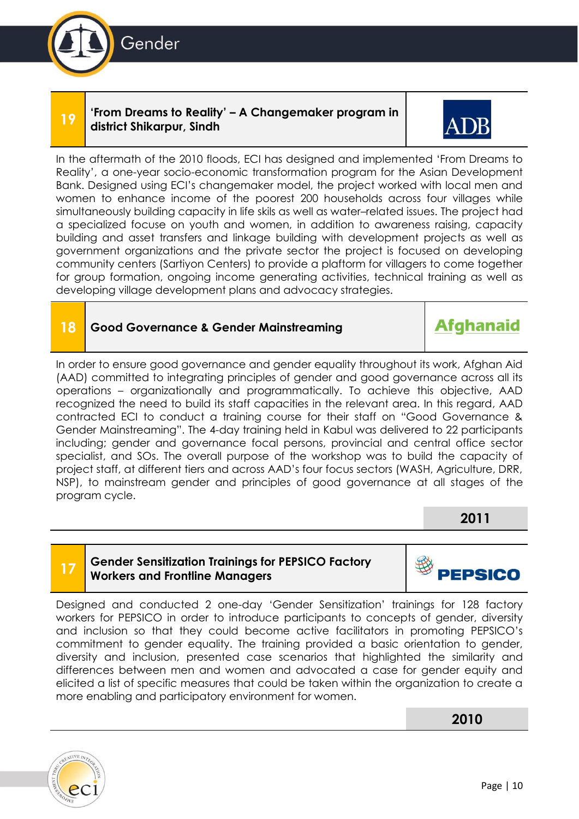

#### **19 'From Dreams to Reality' – A Changemaker program in district Shikarpur, Sindh**



In the aftermath of the 2010 floods, ECI has designed and implemented 'From Dreams to Reality', a one-year socio-economic transformation program for the Asian Development Bank. Designed using ECI's changemaker model, the project worked with local men and women to enhance income of the poorest 200 households across four villages while simultaneously building capacity in life skils as well as water–related issues. The project had a specialized focuse on youth and women, in addition to awareness raising, capacity building and asset transfers and linkage building with development projects as well as government organizations and the private sector the project is focused on developing community centers (Sartiyon Centers) to provide a plaftorm for villagers to come together for group formation, ongoing income generating activities, technical training as well as developing village development plans and advocacy strategies.

#### **18 Good Governance & Gender Mainstreaming**

### **Afghanaid**

In order to ensure good governance and gender equality throughout its work, Afghan Aid (AAD) committed to integrating principles of gender and good governance across all its operations – organizationally and programmatically. To achieve this objective, AAD recognized the need to build its staff capacities in the relevant area. In this regard, AAD contracted ECI to conduct a training course for their staff on "Good Governance & Gender Mainstreaming". The 4-day training held in Kabul was delivered to 22 participants including; gender and governance focal persons, provincial and central office sector specialist, and SOs. The overall purpose of the workshop was to build the capacity of project staff, at different tiers and across AAD's four focus sectors (WASH, Agriculture, DRR, NSP), to mainstream gender and principles of good governance at all stages of the program cycle.

**2011**

# **17**

#### **Gender Sensitization Trainings for PEPSICO Factory Workers and Frontline Managers**



Designed and conducted 2 one-day 'Gender Sensitization' trainings for 128 factory workers for PEPSICO in order to introduce participants to concepts of gender, diversity and inclusion so that they could become active facilitators in promoting PEPSICO's commitment to gender equality. The training provided a basic orientation to gender, diversity and inclusion, presented case scenarios that highlighted the similarity and differences between men and women and advocated a case for gender equity and elicited a list of specific measures that could be taken within the organization to create a more enabling and participatory environment for women.

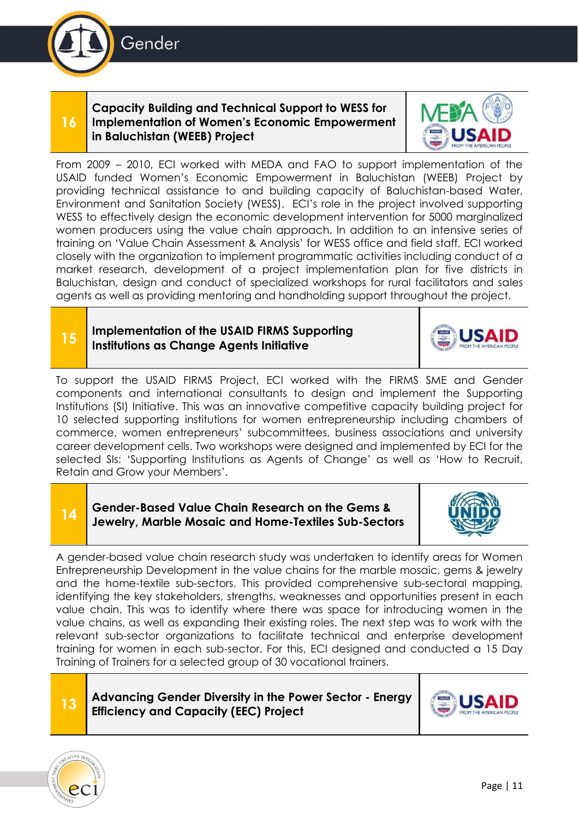

#### **16 Capacity Building and Technical Support to WESS for Implementation of Women's Economic Empowerment in Baluchistan (WEEB) Project**



From 2009 – 2010, ECI worked with MEDA and FAO to support implementation of the USAID funded Women's Economic Empowerment in Baluchistan (WEEB) Project by providing technical assistance to and building capacity of Baluchistan-based Water, Environment and Sanitation Society (WESS). ECI's role in the project involved supporting WESS to effectively design the economic development intervention for 5000 marginalized women producers using the value chain approach. In addition to an intensive series of training on 'Value Chain Assessment & Analysis' for WESS office and field staff, ECI worked closely with the organization to implement programmatic activities including conduct of a market research, development of a project implementation plan for five districts in Baluchistan, design and conduct of specialized workshops for rural facilitators and sales agents as well as providing mentoring and handholding support throughout the project.

#### **Implementation of the USAID FIRMS Supporting Institutions as Change Agents Initiative**



To support the USAID FIRMS Project, ECI worked with the FIRMS SME and Gender components and international consultants to design and implement the Supporting Institutions (SI) Initiative. This was an innovative competitive capacity building project for 10 selected supporting institutions for women entrepreneurship including chambers of commerce, women entrepreneurs' subcommittees, business associations and university career development cells. Two workshops were designed and implemented by ECI for the selected SIs: 'Supporting Institutions as Agents of Change' as well as 'How to Recruit, Retain and Grow your Members'.

#### **Gender-Based Value Chain Research on the Gems & Jewelry, Marble Mosaic and Home-Textiles Sub-Sectors**



A gender-based value chain research study was undertaken to identify areas for Women Entrepreneurship Development in the value chains for the marble mosaic, gems & jewelry and the home-textile sub-sectors. This provided comprehensive sub-sectoral mapping, identifying the key stakeholders, strengths, weaknesses and opportunities present in each value chain. This was to identify where there was space for introducing women in the value chains, as well as expanding their existing roles. The next step was to work with the relevant sub-sector organizations to facilitate technical and enterprise development training for women in each sub-sector. For this, ECI designed and conducted a 15 Day Training of Trainers for a selected group of 30 vocational trainers.

#### **13 Advancing Gender Diversity in the Power Sector - Energy Efficiency and Capacity (EEC) Project**





**15**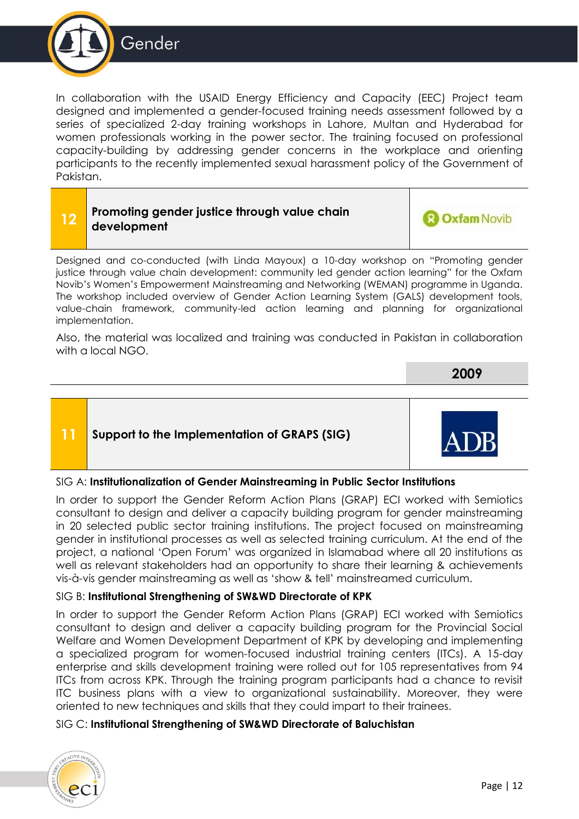

In collaboration with the USAID Energy Efficiency and Capacity (EEC) Project team designed and implemented a gender-focused training needs assessment followed by a series of specialized 2-day training workshops in Lahore, Multan and Hyderabad for women professionals working in the power sector. The training focused on professional capacity-building by addressing gender concerns in the workplace and orienting participants to the recently implemented sexual harassment policy of the Government of Pakistan.

#### **12 Promoting gender justice through value chain development**



Designed and co-conducted (with Linda Mayoux) a 10-day workshop on "Promoting gender justice through value chain development: community led gender action learning" for the Oxfam Novib's Women's Empowerment Mainstreaming and Networking (WEMAN) programme in Uganda. The workshop included overview of Gender Action Learning System (GALS) development tools, value-chain framework, community-led action learning and planning for organizational implementation.

Also, the material was localized and training was conducted in Pakistan in collaboration with a local NGO.

**2009**

#### **11 Support to the Implementation of GRAPS (SIG)**

#### SIG A: **Institutionalization of Gender Mainstreaming in Public Sector Institutions**

In order to support the Gender Reform Action Plans (GRAP) ECI worked with Semiotics consultant to design and deliver a capacity building program for gender mainstreaming in 20 selected public sector training institutions. The project focused on mainstreaming gender in institutional processes as well as selected training curriculum. At the end of the project, a national 'Open Forum' was organized in Islamabad where all 20 institutions as well as relevant stakeholders had an opportunity to share their learning & achievements vis-à-vis gender mainstreaming as well as 'show & tell' mainstreamed curriculum.

#### SIG B: **Institutional Strengthening of SW&WD Directorate of KPK**

In order to support the Gender Reform Action Plans (GRAP) ECI worked with Semiotics consultant to design and deliver a capacity building program for the Provincial Social Welfare and Women Development Department of KPK by developing and implementing a specialized program for women-focused industrial training centers (ITCs). A 15-day enterprise and skills development training were rolled out for 105 representatives from 94 ITCs from across KPK. Through the training program participants had a chance to revisit ITC business plans with a view to organizational sustainability. Moreover, they were oriented to new techniques and skills that they could impart to their trainees.

#### SIG C: **Institutional Strengthening of SW&WD Directorate of Baluchistan**

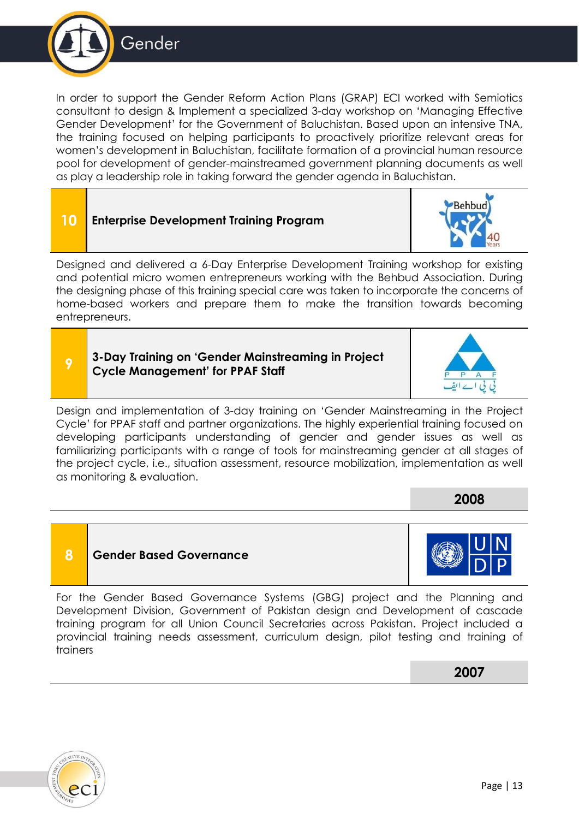



**9 3-Day Training on 'Gender Mainstreaming in Project Cycle Management' for PPAF Staff**

Design and implementation of 3-day training on 'Gender Mainstreaming in the Project Cycle' for PPAF staff and partner organizations. The highly experiential training focused on developing participants understanding of gender and gender issues as well as familiarizing participants with a range of tools for mainstreaming gender at all stages of the project cycle, i.e., situation assessment, resource mobilization, implementation as well as monitoring & evaluation.

**8 Gender Based Governance** 

For the Gender Based Governance Systems (GBG) project and the Planning and Development Division, Government of Pakistan design and Development of cascade training program for all Union Council Secretaries across Pakistan. Project included a provincial training needs assessment, curriculum design, pilot testing and training of trainers

**2007**



**2008**





Gender

entrepreneurs.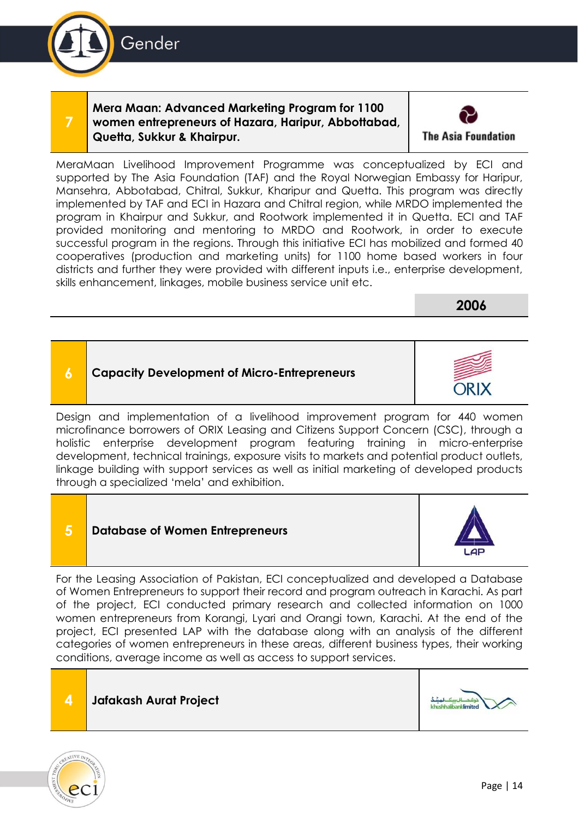**Mera Maan: Advanced Marketing Program for 1100 women entrepreneurs of Hazara, Haripur, Abbottabad, Quetta, Sukkur & Khairpur.**

MeraMaan Livelihood Improvement Programme was conceptualized by ECI and supported by The Asia Foundation (TAF) and the Royal Norwegian Embassy for Haripur, Mansehra, Abbotabad, Chitral, Sukkur, Kharipur and Quetta. This program was directly implemented by TAF and ECI in Hazara and Chitral region, while MRDO implemented the program in Khairpur and Sukkur, and Rootwork implemented it in Quetta. ECI and TAF provided monitoring and mentoring to MRDO and Rootwork, in order to execute successful program in the regions. Through this initiative ECI has mobilized and formed 40 cooperatives (production and marketing units) for 1100 home based workers in four districts and further they were provided with different inputs i.e., enterprise development, skills enhancement, linkages, mobile business service unit etc.

Design and implementation of a livelihood improvement program for 440 women microfinance borrowers of ORIX Leasing and Citizens Support Concern (CSC), through a

**6 Capacity Development of Micro-Entrepreneurs**

**5 Database of Women Entrepreneurs**

holistic enterprise development program featuring training in micro-enterprise development, technical trainings, exposure visits to markets and potential product outlets, linkage building with support services as well as initial marketing of developed products through a specialized 'mela' and exhibition.

For the Leasing Association of Pakistan, ECI conceptualized and developed a Database of Women Entrepreneurs to support their record and program outreach in Karachi. As part of the project, ECI conducted primary research and collected information on 1000 women entrepreneurs from Korangi, Lyari and Orangi town, Karachi. At the end of the project, ECI presented LAP with the database along with an analysis of the different categories of women entrepreneurs in these areas, different business types, their working conditions, average income as well as access to support services.

| caregories of women entrepreneurs in these dreas, different pusiness types, their w<br>conditions, average income as well as access to support services. |  |
|----------------------------------------------------------------------------------------------------------------------------------------------------------|--|
| <b>Jafakash Aurat Project</b>                                                                                                                            |  |



**7**